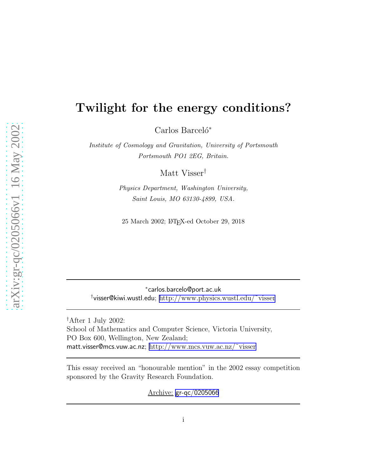# Twilight for the energy conditions?

Carlos Barceló<sup>\*</sup>

Institute of Cosmology and Gravitation, University of Portsmouth Portsmouth PO1 2EG, Britain.

Matt Visser†

Physics Department, Washington University, Saint Louis, MO 63130-4899, USA.

25 March 2002; L<sup>A</sup>TEX-ed October 29, 2018

∗ carlos.barcelo@port.ac.uk † visser@kiwi.wustl.edu; [http://www.physics.wustl.edu/˜visser](http://www.physics.wustl.edu/~visser)

†After 1 July 2002: School of Mathematics and Computer Science, Victoria University, PO Box 600, Wellington, New Zealand; matt.visser@mcs.vuw.ac.nz; [http://www.mcs.vuw.ac.nz/˜visser](http://www.mcs.vuw.ac.nz/~visser)

This essay received an "honourable mention" in the 2002 essay competition sponsored by the Gravity Research Foundation.

Archive: [gr-qc/0205066](http://arxiv.org/abs/gr-qc/0205066)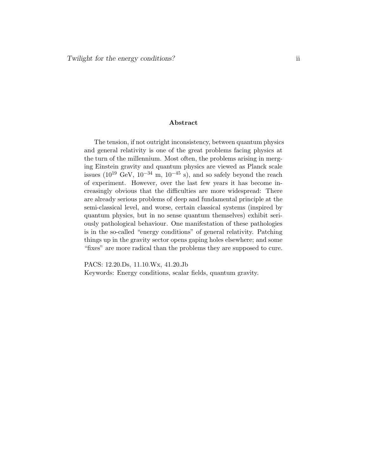#### Abstract

The tension, if not outright inconsistency, between quantum physics and general relativity is one of the great problems facing physics at the turn of the millennium. Most often, the problems arising in merging Einstein gravity and quantum physics are viewed as Planck scale issues ( $10^{19}$  GeV,  $10^{-34}$  m,  $10^{-45}$  s), and so safely beyond the reach of experiment. However, over the last few years it has become increasingly obvious that the difficulties are more widespread: There are already serious problems of deep and fundamental principle at the semi-classical level, and worse, certain classical systems (inspired by quantum physics, but in no sense quantum themselves) exhibit seriously pathological behaviour. One manifestation of these pathologies is in the so-called "energy conditions" of general relativity. Patching things up in the gravity sector opens gaping holes elsewhere; and some "fixes" are more radical than the problems they are supposed to cure.

PACS: 12.20.Ds, 11.10.Wx, 41.20.Jb

Keywords: Energy conditions, scalar fields, quantum gravity.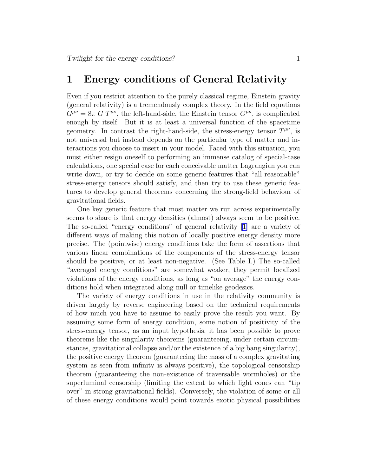#### 1 Energy conditions of General Relativity

Even if you restrict attention to the purely classical regime, Einstein gravity (general relativity) is a tremendously complex theory. In the field equations  $G^{\mu\nu} = 8\pi G T^{\mu\nu}$ , the left-hand-side, the Einstein tensor  $G^{\mu\nu}$ , is complicated enough by itself. But it is at least a universal function of the spacetime geometry. In contrast the right-hand-side, the stress-energy tensor  $T^{\mu\nu}$ , is not universal but instead depends on the particular type of matter and interactions you choose to insert in your model. Faced with this situation, you must either resign oneself to performing an immense catalog of special-case calculations, one special case for each conceivable matter Lagrangian you can write down, or try to decide on some generic features that "all reasonable" stress-energy tensors should satisfy, and then try to use these generic features to develop general theorems concerning the strong-field behaviour of gravitational fields.

One key generic feature that most matter we run across experimentally seems to share is that energy densities (almost) always seem to be positive. The so-called "energy conditions" of general relativity[[1\]](#page-10-0) are a variety of different ways of making this notion of locally positive energy density more precise. The (pointwise) energy conditions take the form of assertions that various linear combinations of the components of the stress-energy tensor should be positive, or at least non-negative. (See Table I.) The so-called "averaged energy conditions" are somewhat weaker, they permit localized violations of the energy conditions, as long as "on average" the energy conditions hold when integrated along null or timelike geodesics.

The variety of energy conditions in use in the relativity community is driven largely by reverse engineering based on the technical requirements of how much you have to assume to easily prove the result you want. By assuming some form of energy condition, some notion of positivity of the stress-energy tensor, as an input hypothesis, it has been possible to prove theorems like the singularity theorems (guaranteeing, under certain circumstances, gravitational collapse and/or the existence of a big bang singularity), the positive energy theorem (guaranteeing the mass of a complex gravitating system as seen from infinity is always positive), the topological censorship theorem (guaranteeing the non-existence of traversable wormholes) or the superluminal censorship (limiting the extent to which light cones can "tip over" in strong gravitational fields). Conversely, the violation of some or all of these energy conditions would point towards exotic physical possibilities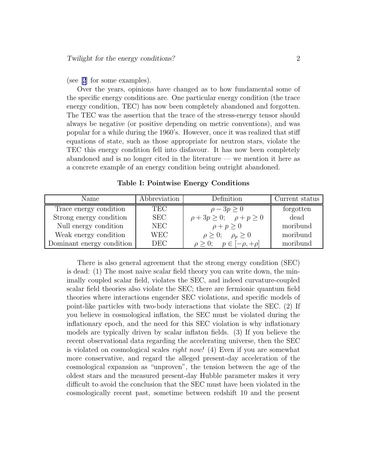(see[[2](#page-10-0)] for some examples).

Over the years, opinions have changed as to how fundamental some of the specific energy conditions are. One particular energy condition (the trace energy condition, TEC) has now been completely abandoned and forgotten. The TEC was the assertion that the trace of the stress-energy tensor should always be negative (or positive depending on metric conventions), and was popular for a while during the 1960's. However, once it was realized that stiff equations of state, such as those appropriate for neutron stars, violate the TEC this energy condition fell into disfavour. It has now been completely abandoned and is no longer cited in the literature — we mention it here as a concrete example of an energy condition being outright abandoned.

Table I: Pointwise Energy Conditions

| Name                      | Abbreviation | Definition                                | Current status |
|---------------------------|--------------|-------------------------------------------|----------------|
| Trace energy condition    | <b>TEC</b>   | $\rho - 3p \geq 0$                        | forgotten      |
| Strong energy condition   | <b>SEC</b>   | $\rho + 3p \geq 0; \quad \rho + p \geq 0$ | dead           |
| Null energy condition     | <b>NEC</b>   | $\rho + p \geq 0$                         | moribund       |
| Weak energy condition     | <b>WEC</b>   | $\rho \geq 0; \quad \rho_p \geq 0$        | moribund       |
| Dominant energy condition | <b>DEC</b>   | $\rho \geq 0; \quad p \in [-\rho, +\rho]$ | moribund       |

There is also general agreement that the strong energy condition (SEC) is dead: (1) The most naive scalar field theory you can write down, the minimally coupled scalar field, violates the SEC, and indeed curvature-coupled scalar field theories also violate the SEC; there are fermionic quantum field theories where interactions engender SEC violations, and specific models of point-like particles with two-body interactions that violate the SEC. (2) If you believe in cosmological inflation, the SEC must be violated during the inflationary epoch, and the need for this SEC violation is why inflationary models are typically driven by scalar inflaton fields. (3) If you believe the recent observational data regarding the accelerating universe, then the SEC is violated on cosmological scales *right now!* (4) Even if you are somewhat more conservative, and regard the alleged present-day acceleration of the cosmological expansion as "unproven", the tension between the age of the oldest stars and the measured present-day Hubble parameter makes it very difficult to avoid the conclusion that the SEC must have been violated in the cosmologically recent past, sometime between redshift 10 and the present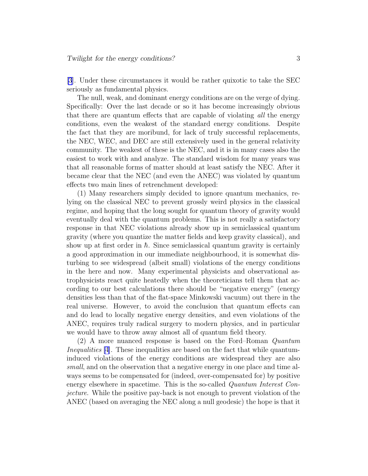[\[3\]](#page-10-0). Under these circumstances it would be rather quixotic to take the SEC seriously as fundamental physics.

The null, weak, and dominant energy conditions are on the verge of dying. Specifically: Over the last decade or so it has become increasingly obvious that there are quantum effects that are capable of violating all the energy conditions, even the weakest of the standard energy conditions. Despite the fact that they are moribund, for lack of truly successful replacements, the NEC, WEC, and DEC are still extensively used in the general relativity community. The weakest of these is the NEC, and it is in many cases also the easiest to work with and analyze. The standard wisdom for many years was that all reasonable forms of matter should at least satisfy the NEC. After it became clear that the NEC (and even the ANEC) was violated by quantum effects two main lines of retrenchment developed:

(1) Many researchers simply decided to ignore quantum mechanics, relying on the classical NEC to prevent grossly weird physics in the classical regime, and hoping that the long sought for quantum theory of gravity would eventually deal with the quantum problems. This is not really a satisfactory response in that NEC violations already show up in semiclassical quantum gravity (where you quantize the matter fields and keep gravity classical), and show up at first order in  $\hbar$ . Since semiclassical quantum gravity is certainly a good approximation in our immediate neighbourhood, it is somewhat disturbing to see widespread (albeit small) violations of the energy conditions in the here and now. Many experimental physicists and observational astrophysicists react quite heatedly when the theoreticians tell them that according to our best calculations there should be "negative energy" (energy densities less than that of the flat-space Minkowski vacuum) out there in the real universe. However, to avoid the conclusion that quantum effects can and do lead to locally negative energy densities, and even violations of the ANEC, requires truly radical surgery to modern physics, and in particular we would have to throw away almost all of quantum field theory.

(2) A more nuanced response is based on the Ford–Roman Quantum Inequalities [\[4\]](#page-10-0). These inequalities are based on the fact that while quantuminduced violations of the energy conditions are widespread they are also small, and on the observation that a negative energy in one place and time always seems to be compensated for (indeed, over-compensated for) by positive energy elsewhere in spacetime. This is the so-called Quantum Interest Conjecture. While the positive pay-back is not enough to prevent violation of the ANEC (based on averaging the NEC along a null geodesic) the hope is that it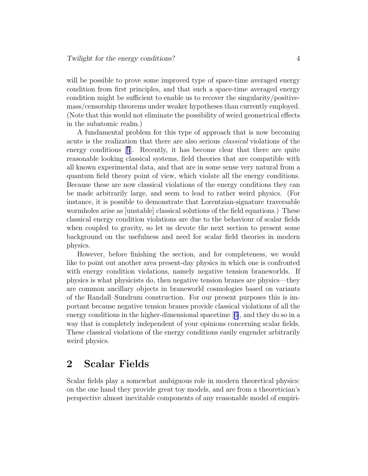will be possible to prove some improved type of space-time averaged energy condition from first principles, and that such a space-time averaged energy condition might be sufficient to enable us to recover the singularity/positivemass/censorship theorems under weaker hypotheses than currently employed. (Note that this would not eliminate the possibility of weird geometrical effects in the subatomic realm.)

A fundamental problem for this type of approach that is now becoming acute is the realization that there are also serious classical violations of the energy conditions[[5](#page-10-0)]. Recently, it has become clear that there are quite reasonable looking classical systems, field theories that are compatible with all known experimental data, and that are in some sense very natural from a quantum field theory point of view, which violate all the energy conditions. Because these are now classical violations of the energy conditions they can be made arbitrarily large, and seem to lead to rather weird physics. (For instance, it is possible to demonstrate that Lorentzian-signature traversable wormholes arise as [unstable] classical solutions of the field equations.) These classical energy condition violations are due to the behaviour of scalar fields when coupled to gravity, so let us devote the next section to present some background on the usefulness and need for scalar field theories in modern physics.

However, before finishing the section, and for completeness, we would like to point out another area present-day physics in which one is confronted with energy condition violations, namely negative tension braneworlds. If physics is what physicists do, then negative tension branes are physics—they are common ancillary objects in braneworld cosmologies based on variants of the Randall–Sundrum construction. For our present purposes this is important because negative tension branes provide classical violations of all the energy conditions in the higher-dimensional spacetime[[6\]](#page-10-0), and they do so in a way that is completely independent of your opinions concerning scalar fields. These classical violations of the energy conditions easily engender arbitrarily weird physics.

## 2 Scalar Fields

Scalar fields play a somewhat ambiguous role in modern theoretical physics: on the one hand they provide great toy models, and are from a theoretician's perspective almost inevitable components of any reasonable model of empiri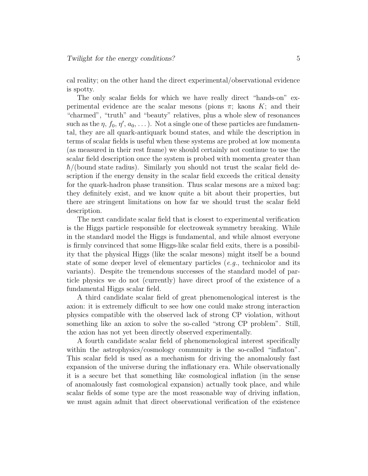cal reality; on the other hand the direct experimental/observational evidence is spotty.

The only scalar fields for which we have really direct "hands-on" experimental evidence are the scalar mesons (pions  $\pi$ ; kaons K; and their "charmed", "truth" and "beauty" relatives, plus a whole slew of resonances such as the  $\eta$ ,  $f_0$ ,  $\eta'$ ,  $a_0$ , ...). Not a single one of these particles are fundamental, they are all quark-antiquark bound states, and while the description in terms of scalar fields is useful when these systems are probed at low momenta (as measured in their rest frame) we should certainly not continue to use the scalar field description once the system is probed with momenta greater than  $\hbar/$ (bound state radius). Similarly you should not trust the scalar field description if the energy density in the scalar field exceeds the critical density for the quark-hadron phase transition. Thus scalar mesons are a mixed bag: they definitely exist, and we know quite a bit about their properties, but there are stringent limitations on how far we should trust the scalar field description.

The next candidate scalar field that is closest to experimental verification is the Higgs particle responsible for electroweak symmetry breaking. While in the standard model the Higgs is fundamental, and while almost everyone is firmly convinced that some Higgs-like scalar field exits, there is a possibility that the physical Higgs (like the scalar mesons) might itself be a bound state of some deeper level of elementary particles  $(e.g.,)$  technicolor and its variants). Despite the tremendous successes of the standard model of particle physics we do not (currently) have direct proof of the existence of a fundamental Higgs scalar field.

A third candidate scalar field of great phenomenological interest is the axion: it is extremely difficult to see how one could make strong interaction physics compatible with the observed lack of strong CP violation, without something like an axion to solve the so-called "strong CP problem". Still, the axion has not yet been directly observed experimentally.

A fourth candidate scalar field of phenomenological interest specifically within the astrophysics/cosmology community is the so-called "inflaton". This scalar field is used as a mechanism for driving the anomalously fast expansion of the universe during the inflationary era. While observationally it is a secure bet that something like cosmological inflation (in the sense of anomalously fast cosmological expansion) actually took place, and while scalar fields of some type are the most reasonable way of driving inflation, we must again admit that direct observational verification of the existence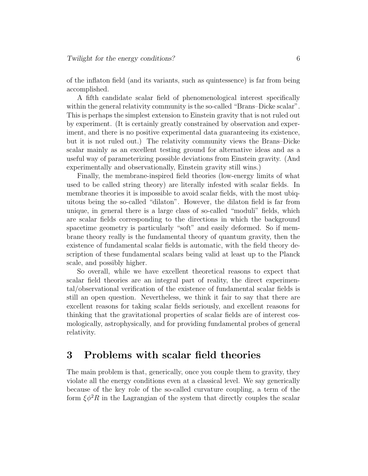of the inflaton field (and its variants, such as quintessence) is far from being accomplished.

A fifth candidate scalar field of phenomenological interest specifically within the general relativity community is the so-called "Brans–Dicke scalar". This is perhaps the simplest extension to Einstein gravity that is not ruled out by experiment. (It is certainly greatly constrained by observation and experiment, and there is no positive experimental data guaranteeing its existence, but it is not ruled out.) The relativity community views the Brans–Dicke scalar mainly as an excellent testing ground for alternative ideas and as a useful way of parameterizing possible deviations from Einstein gravity. (And experimentally and observationally, Einstein gravity still wins.)

Finally, the membrane-inspired field theories (low-energy limits of what used to be called string theory) are literally infested with scalar fields. In membrane theories it is impossible to avoid scalar fields, with the most ubiquitous being the so-called "dilaton". However, the dilaton field is far from unique, in general there is a large class of so-called "moduli" fields, which are scalar fields corresponding to the directions in which the background spacetime geometry is particularly "soft" and easily deformed. So if membrane theory really is the fundamental theory of quantum gravity, then the existence of fundamental scalar fields is automatic, with the field theory description of these fundamental scalars being valid at least up to the Planck scale, and possibly higher.

So overall, while we have excellent theoretical reasons to expect that scalar field theories are an integral part of reality, the direct experimental/observational verification of the existence of fundamental scalar fields is still an open question. Nevertheless, we think it fair to say that there are excellent reasons for taking scalar fields seriously, and excellent reasons for thinking that the gravitational properties of scalar fields are of interest cosmologically, astrophysically, and for providing fundamental probes of general relativity.

## 3 Problems with scalar field theories

The main problem is that, generically, once you couple them to gravity, they violate all the energy conditions even at a classical level. We say generically because of the key role of the so-called curvature coupling, a term of the form  $\xi \phi^2 R$  in the Lagrangian of the system that directly couples the scalar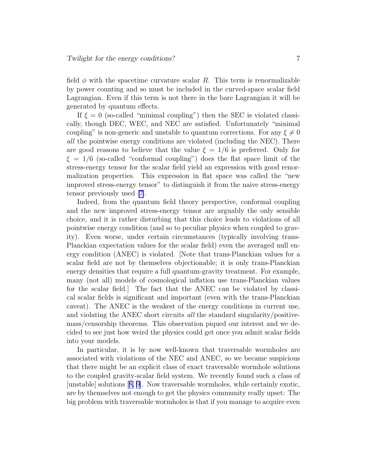field  $\phi$  with the spacetime curvature scalar R. This term is renormalizable by power counting and so must be included in the curved-space scalar field Lagrangian. Even if this term is not there in the bare Lagrangian it will be generated by quantum effects.

If  $\xi = 0$  (so-called "minimal coupling") then the SEC is violated classically, though DEC, WEC, and NEC are satisfied. Unfortunately "minimal coupling" is non-generic and unstable to quantum corrections. For any  $\xi \neq 0$ all the pointwise energy conditions are violated (including the NEC). There are good reasons to believe that the value  $\xi = 1/6$  is preferred. Only for  $\xi = 1/6$  (so-called "conformal coupling") does the flat space limit of the stress-energy tensor for the scalar field yield an expression with good renormalization properties. This expression in flat space was called the "new improved stress-energy tensor" to distinguish it from the naive stress-energy tensor previously used[[7\]](#page-11-0).

Indeed, from the quantum field theory perspective, conformal coupling and the new improved stress-energy tensor are arguably the only sensible choice, and it is rather disturbing that this choice leads to violations of all pointwise energy condition (and so to peculiar physics when coupled to gravity). Even worse, under certain circumstances (typically involving trans-Planckian expectation values for the scalar field) even the averaged null energy condition (ANEC) is violated. [Note that trans-Planckian values for a scalar field are not by themselves objectionable; it is only trans-Planckian energy densities that require a full quantum-gravity treatment. For example, many (not all) models of cosmological inflation use trans-Planckian values for the scalar field.] The fact that the ANEC can be violated by classical scalar fields is significant and important (even with the trans-Planckian caveat). The ANEC is the weakest of the energy conditions in current use, and violating the ANEC short circuits all the standard singularity/positivemass/censorship theorems. This observation piqued our interest and we decided to see just how weird the physics could get once you admit scalar fields into your models.

In particular, it is by now well-known that traversable wormholes are associated with violations of the NEC and ANEC, so we became suspicious that there might be an explicit class of exact traversable wormhole solutions to the coupled gravity-scalar field system. We recently found such a class of [unstable] solutions[[8, 9\]](#page-11-0). Now traversable wormholes, while certainly exotic, are by themselves not enough to get the physics community really upset: The big problem with traversable wormholes is that if you manage to acquire even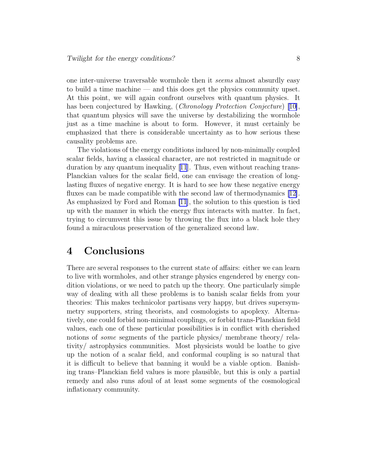one inter-universe traversable wormhole then it seems almost absurdly easy to build a time machine — and this does get the physics community upset. At this point, we will again confront ourselves with quantum physics. It has been conjectured by Hawking, *(Chronology Protection Conjecture*) [\[10\]](#page-11-0), that quantum physics will save the universe by destabilizing the wormhole just as a time machine is about to form. However, it must certainly be emphasized that there is considerable uncertainty as to how serious these causality problems are.

The violations of the energy conditions induced by non-minimally coupled scalar fields, having a classical character, are not restricted in magnitude or duration by any quantum inequality[[11](#page-11-0)]. Thus, even without reaching trans-Planckian values for the scalar field, one can envisage the creation of longlasting fluxes of negative energy. It is hard to see how these negative energy fluxes can be made compatible with the second law of thermodynamics [\[12\]](#page-11-0). As emphasized by Ford and Roman [\[11](#page-11-0)], the solution to this question is tied up with the manner in which the energy flux interacts with matter. In fact, trying to circumvent this issue by throwing the flux into a black hole they found a miraculous preservation of the generalized second law.

## 4 Conclusions

There are several responses to the current state of affairs: either we can learn to live with wormholes, and other strange physics engendered by energy condition violations, or we need to patch up the theory. One particularly simple way of dealing with all these problems is to banish scalar fields from your theories: This makes technicolor partisans very happy, but drives supersymmetry supporters, string theorists, and cosmologists to apoplexy. Alternatively, one could forbid non-minimal couplings, or forbid trans-Planckian field values, each one of these particular possibilities is in conflict with cherished notions of some segments of the particle physics/ membrane theory/ relativity/ astrophysics communities. Most physicists would be loathe to give up the notion of a scalar field, and conformal coupling is so natural that it is difficult to believe that banning it would be a viable option. Banishing trans–Planckian field values is more plausible, but this is only a partial remedy and also runs afoul of at least some segments of the cosmological inflationary community.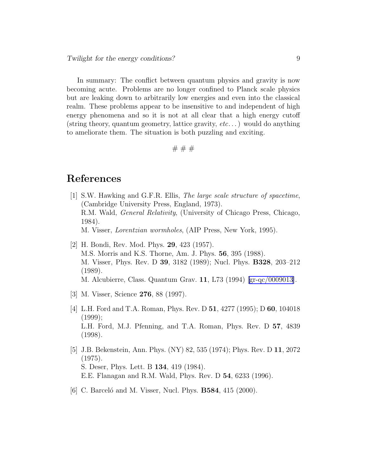<span id="page-10-0"></span>In summary: The conflict between quantum physics and gravity is now becoming acute. Problems are no longer confined to Planck scale physics but are leaking down to arbitrarily low energies and even into the classical realm. These problems appear to be insensitive to and independent of high energy phenomena and so it is not at all clear that a high energy cutoff (string theory, quantum geometry, lattice gravity,  $etc...$ ) would do anything to ameliorate them. The situation is both puzzling and exciting.

# # #

## References

- [1] S.W. Hawking and G.F.R. Ellis, The large scale structure of spacetime, (Cambridge University Press, England, 1973). R.M. Wald, General Relativity, (University of Chicago Press, Chicago, 1984). M. Visser, Lorentzian wormholes, (AIP Press, New York, 1995).
- [2] H. Bondi, Rev. Mod. Phys. 29, 423 (1957). M.S. Morris and K.S. Thorne, Am. J. Phys. 56, 395 (1988). M. Visser, Phys. Rev. D 39, 3182 (1989); Nucl. Phys. B328, 203–212 (1989). M. Alcubierre, Class. Quantum Grav. 11, L73 (1994) [\[gr-qc/0009013\]](http://arxiv.org/abs/gr-qc/0009013).
- [3] M. Visser, Science 276, 88 (1997).
- [4] L.H. Ford and T.A. Roman, Phys. Rev. D 51, 4277 (1995); D 60, 104018 (1999); L.H. Ford, M.J. Pfenning, and T.A. Roman, Phys. Rev. D 57, 4839 (1998).
- [5] J.B. Bekenstein, Ann. Phys. (NY) 82, 535 (1974); Phys. Rev. D 11, 2072 (1975). S. Deser, Phys. Lett. B 134, 419 (1984). E.E. Flanagan and R.M. Wald, Phys. Rev. D 54, 6233 (1996).
- [6] C. Barceló and M. Visser, Nucl. Phys.  $\bf{B584}$ , 415 (2000).